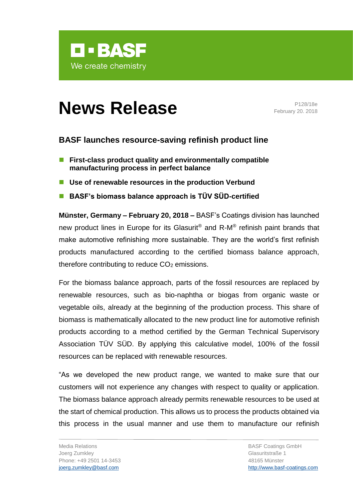

# **News Release** Prize/18e

February 20. 2018

# **BASF launches resource-saving refinish product line**

- **First-class product quality and environmentally compatible manufacturing process in perfect balance**
- Use of renewable resources in the production Verbund
- **BASF's biomass balance approach is TÜV SÜD-certified**

**Münster, Germany – February 20, 2018 –** BASF's Coatings division has launched new product lines in Europe for its Glasurit® and R-M® refinish paint brands that make automotive refinishing more sustainable. They are the world's first refinish products manufactured according to the certified biomass balance approach, therefore contributing to reduce  $CO<sub>2</sub>$  emissions.

For the biomass balance approach, parts of the fossil resources are replaced by renewable resources, such as bio-naphtha or biogas from organic waste or vegetable oils, already at the beginning of the production process. This share of biomass is mathematically allocated to the new product line for automotive refinish products according to a method certified by the German Technical Supervisory Association TÜV SÜD. By applying this calculative model, 100% of the fossil resources can be replaced with renewable resources.

"As we developed the new product range, we wanted to make sure that our customers will not experience any changes with respect to quality or application. The biomass balance approach already permits renewable resources to be used at the start of chemical production. This allows us to process the products obtained via this process in the usual manner and use them to manufacture our refinish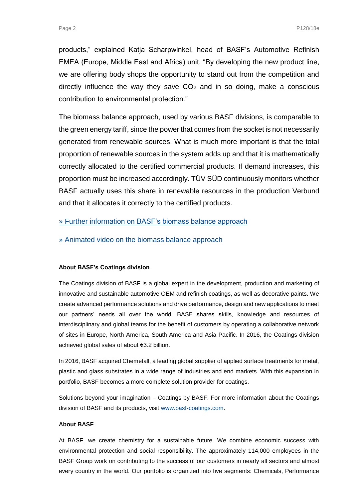products," explained Katja Scharpwinkel, head of BASF's Automotive Refinish EMEA (Europe, Middle East and Africa) unit. "By developing the new product line, we are offering body shops the opportunity to stand out from the competition and directly influence the way they save  $CO<sub>2</sub>$  and in so doing, make a conscious contribution to environmental protection."

The biomass balance approach, used by various BASF divisions, is comparable to the green energy tariff, since the power that comes from the socket is not necessarily generated from renewable sources. What is much more important is that the total proportion of renewable sources in the system adds up and that it is mathematically correctly allocated to the certified commercial products. If demand increases, this proportion must be increased accordingly. TÜV SÜD continuously monitors whether BASF actually uses this share in renewable resources in the production Verbund and that it allocates it correctly to the certified products.

## » [Further information on BASF's biomass balance approach](https://www.basf.com/en/company/sustainability/environment/resources-and-ecosystems/renewable-raw-materials/biomass-balance.html)

[» Animated video on the biomass balance approach](https://youtu.be/PzScMV6TueI)

### **About BASF's Coatings division**

The Coatings division of BASF is a global expert in the development, production and marketing of innovative and sustainable automotive OEM and refinish coatings, as well as decorative paints. We create advanced performance solutions and drive performance, design and new applications to meet our partners' needs all over the world. BASF shares skills, knowledge and resources of interdisciplinary and global teams for the benefit of customers by operating a collaborative network of sites in Europe, North America, South America and Asia Pacific. In 2016, the Coatings division achieved global sales of about €3.2 billion.

In 2016, BASF acquired Chemetall, a leading global supplier of applied surface treatments for metal, plastic and glass substrates in a wide range of industries and end markets. With this expansion in portfolio, BASF becomes a more complete solution provider for coatings.

Solutions beyond your imagination – Coatings by BASF. For more information about the Coatings division of BASF and its products, visit [www.basf-coatings.com.](http://www.basf-coatings.com/)

### **About BASF**

At BASF, we create chemistry for a sustainable future. We combine economic success with environmental protection and social responsibility. The approximately 114,000 employees in the BASF Group work on contributing to the success of our customers in nearly all sectors and almost every country in the world. Our portfolio is organized into five segments: Chemicals, Performance